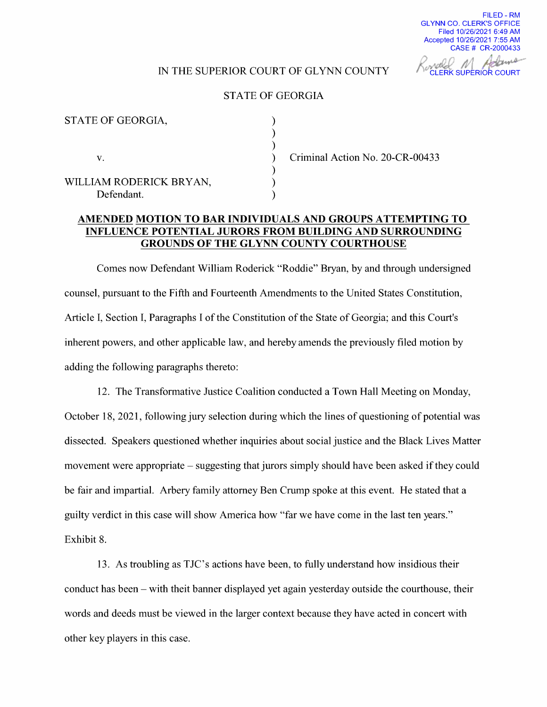FILED - RM GLYNN CO. CLERK'S OFFICE Filed 10/26/2021 6:49 AM Accepted 10/26/2021 7:55 AM  $CASE # CR-2000433$ 

## IN THE SUPERIOR COURT OF GLYNN COUNTY CLERK SUPERIOR COURT

## STATE OF GEORGIA

| STATE OF GEORGIA,                     |  |
|---------------------------------------|--|
| V.                                    |  |
| WILLIAM RODERICK BRYAN,<br>Defendant. |  |

Criminal Action No. 20-CR-00433

## AMENDED MOTION TO BAR INDIVIDUALS AND GROUPS ATTEMPTING TO INFLUENCE POTENTIAL JURORS FROM BUILDING AND SURROUNDING GROUNDS OF THE GLYNN COUNTY COURTHOUSE

Comes now Defendant William Roderick "Roddie" Bryan, by and through undersigned counsel, pursuant to the Fifth and Fourteenth Amendments to the United States Constitution, Article I, Section I, Paragraphs I of the Constitution of the State of Georgia; and this Court's inherent powers, and other applicable law, and hereby amends the previously filed motion by adding the following paragraphs thereto:

12. The Transformative Justice Coalition conducted a Town Hall Meeting on Monday, October 18, 2021, following jury selection during which the lines of questioning of potential was dissected. Speakers questioned whether inquiries about social justice and the Black Lives Matter movement were appropriate – suggesting that jurors simply should have been asked if they could be fair and impartial. Arbery family attorney Ben Crump spoke at this event. He stated that guilty verdict in this case will show America how "far we have come in the last ten years." Exhibit 8.

13. As troubling as TJC's actions have been, to fully understand how insidious their conduct has been – with theit banner displayed yet again yesterday outside the courthouse, their words and deeds must be viewed in the larger context because they have acted in concert with other key players in this case.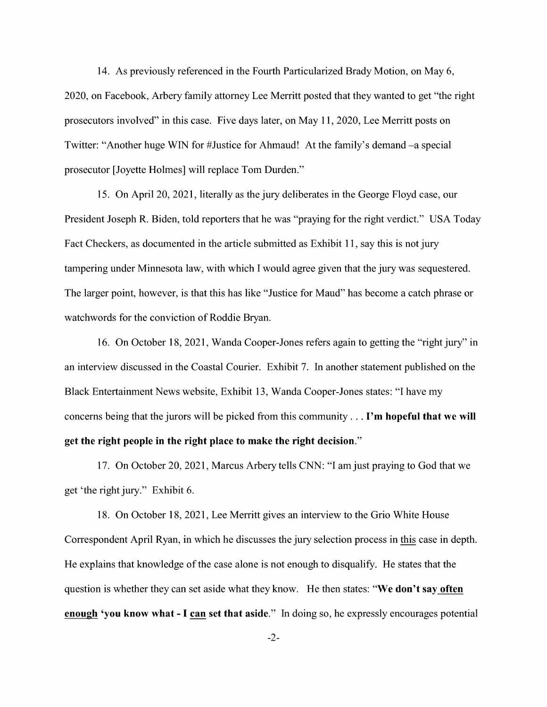14. As previously referenced in the Fourth Particularized Brady Motion, on May 6, 2020, on Facebook, Arbery family attorney Lee Merritt posted that they wanted to get "the right prosecutors involved" in this case. Five days later, on May 11, 2020, Lee Merritt posts on Twitter: "Another huge WIN for #Justice for Ahmaud! At the family's demand —a special prosecutor [Joyette Holmes] will replace Tom Durden."

15. On April 20, 2021, literally as the jury deliberates in the George Floyd case, our President Joseph R. Biden, told reporters that he was "praying for the right verdict." USA Today Fact Checkers, as documented in the article submitted as Exhibit ll, say this is not jury tampering under Minnesota law, with which I would agree given that the jury was sequestered. The larger point, however, is that this has like "Justice for Maud" has become a catch phrase or watchwords for the conviction of Roddie Bryan.

16. On October 18, 2021, Wanda Cooper-Jones refers again to getting the "right jury" in an interview discussed in the Coastal Courier. Exhibit 7. In another statement published on the Black Entertainment News website, Exhibit 13, Wanda Cooper-Jones states: "I have my concerns being that the jurors will be picked from this community . . . I'm hopeful that we will get the right people in the right place to make the right decision."

17. On October 20, 2021, Marcus Arbery tells CNN: "I am just praying to God that we get 'the right jury." Exhibit 6.

18. On October 18, 2021 Lee Merritt gives an interview to the Grio White House Correspondent April Ryan, in which he discusses the jury selection process in this case in depth. He explains that knowledge of the case alone is not enough to disqualify. He states that the question is whether they can set aside what they know. He then states: "We don't say often enough 'you know what - I can set that aside." In doing so, he expressly encourages potential

-2-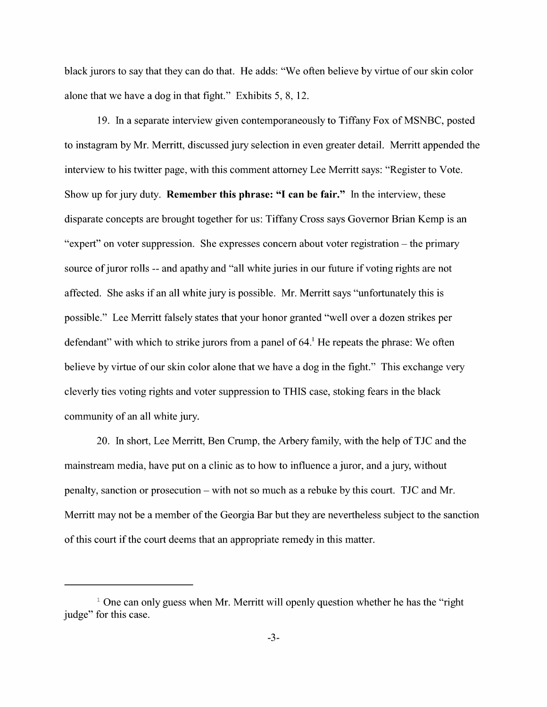black jurors to say that they can do that. He adds: "We often believe by Virtue of our skin color alone that we have a dog in that fight." Exhibits  $5, 8, 12$ .

l9. In separate interview given contemporaneously to Tiffany Fox of MSNBC, posted to instagram by Mr. Merritt, discussed jury selection in even greater detail. Merritt appended the interview to his twitter page, with this comment attorney Lee Merritt says: "Register to Vote. Show up for jury duty. Remember this phrase: "I can be fair." In the interview, these disparate concepts are brought together for us: Tiffany Cross says Governor Brian Kemp is an "expert" on voter suppression. She expresses concern about voter registration – the primary source of juror rolls -- and apathy and "all white juries in our future if voting rights are not affected. She asks if an all White jury is possible. Mr. Merritt says "unfortunately this is possible." Lee Merritt falsely states that your honor granted "well over a dozen strikes per defendant" with which to strike jurors from a panel of 64.<sup>1</sup> He repeats the phrase: We often believe by virtue of our skin color alone that we have a dog in the fight." This exchange very cleverly ties voting rights and voter suppression to THIS case, stoking fears in the black community of an all white jury.

20. In short, Lee Merritt, Ben Crump, the Arbery family, with the help of TJC and the mainstream media, have put on a clinic as to how to influence a juror, and a jury, without penalty, sanction or prosecution with not so much as rebuke by this court. TJC and Mr. Merritt may not be a member of the Georgia Bar but they are nevertheless subject to the sanction of this court if the court deems that an appropriate remedy in this matter.

 $1$  One can only guess when Mr. Merritt will openly question whether he has the "right" judge" for this case.